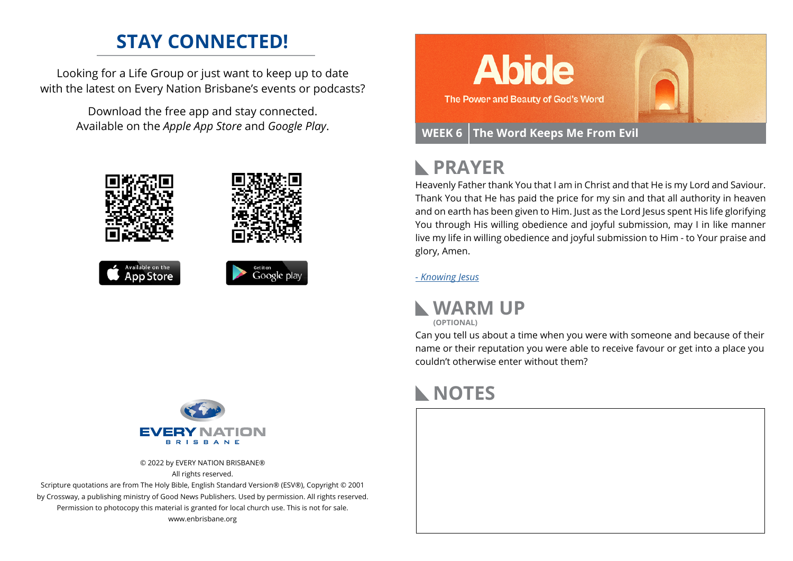## **STAY CONNECTED!**

Looking for a Life Group or just want to keep up to date with the latest on Every Nation Brisbane's events or podcasts?

> Download the free app and stay connected. Available on the *Apple App Store* and *Google Play*.





© 2022 by EVERY NATION BRISBANE® All rights reserved.

Scripture quotations are from The Holy Bible, English Standard Version® (ESV®), Copyright © 2001 by Crossway, a publishing ministry of Good News Publishers. Used by permission. All rights reserved. Permission to photocopy this material is granted for local church use. This is not for sale. www.enbrisbane.org



## **PRAYER**

Heavenly Father thank You that I am in Christ and that He is my Lord and Saviour. Thank You that He has paid the price for my sin and that all authority in heaven and on earth has been given to Him. Just as the Lord Jesus spent His life glorifying You through His willing obedience and joyful submission, may I in like manner live my life in willing obedience and joyful submission to Him - to Your praise and glory, Amen.

*[- Knowing Jesus](https://prayer.knowing-jesus.com/John/17)*



Can you tell us about a time when you were with someone and because of their name or their reputation you were able to receive favour or get into a place you couldn't otherwise enter without them?

## **NOTES**